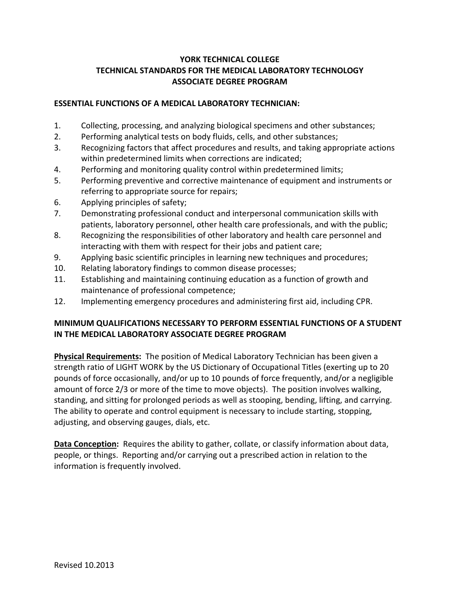# **YORK TECHNICAL COLLEGE TECHNICAL STANDARDS FOR THE MEDICAL LABORATORY TECHNOLOGY ASSOCIATE DEGREE PROGRAM**

#### **ESSENTIAL FUNCTIONS OF A MEDICAL LABORATORY TECHNICIAN:**

- 1. Collecting, processing, and analyzing biological specimens and other substances;
- 2. Performing analytical tests on body fluids, cells, and other substances;
- 3. Recognizing factors that affect procedures and results, and taking appropriate actions within predetermined limits when corrections are indicated;
- 4. Performing and monitoring quality control within predetermined limits;
- 5. Performing preventive and corrective maintenance of equipment and instruments or referring to appropriate source for repairs;
- 6. Applying principles of safety;
- 7. Demonstrating professional conduct and interpersonal communication skills with patients, laboratory personnel, other health care professionals, and with the public;
- 8. Recognizing the responsibilities of other laboratory and health care personnel and interacting with them with respect for their jobs and patient care;
- 9. Applying basic scientific principles in learning new techniques and procedures;
- 10. Relating laboratory findings to common disease processes;
- 11. Establishing and maintaining continuing education as a function of growth and maintenance of professional competence;
- 12. Implementing emergency procedures and administering first aid, including CPR.

## **MINIMUM QUALIFICATIONS NECESSARY TO PERFORM ESSENTIAL FUNCTIONS OF A STUDENT IN THE MEDICAL LABORATORY ASSOCIATE DEGREE PROGRAM**

**Physical Requirements:** The position of Medical Laboratory Technician has been given a strength ratio of LIGHT WORK by the US Dictionary of Occupational Titles (exerting up to 20 pounds of force occasionally, and/or up to 10 pounds of force frequently, and/or a negligible amount of force 2/3 or more of the time to move objects). The position involves walking, standing, and sitting for prolonged periods as well as stooping, bending, lifting, and carrying. The ability to operate and control equipment is necessary to include starting, stopping, adjusting, and observing gauges, dials, etc.

**Data Conception:** Requires the ability to gather, collate, or classify information about data, people, or things. Reporting and/or carrying out a prescribed action in relation to the information is frequently involved.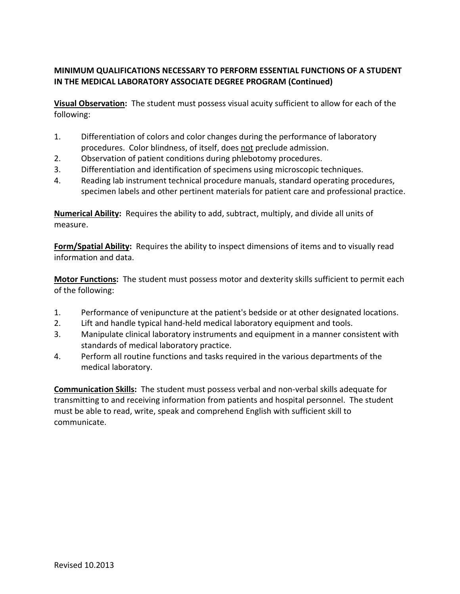# **MINIMUM QUALIFICATIONS NECESSARY TO PERFORM ESSENTIAL FUNCTIONS OF A STUDENT IN THE MEDICAL LABORATORY ASSOCIATE DEGREE PROGRAM (Continued)**

**Visual Observation:** The student must possess visual acuity sufficient to allow for each of the following:

- 1. Differentiation of colors and color changes during the performance of laboratory procedures. Color blindness, of itself, does not preclude admission.
- 2. Observation of patient conditions during phlebotomy procedures.
- 3. Differentiation and identification of specimens using microscopic techniques.
- 4. Reading lab instrument technical procedure manuals, standard operating procedures, specimen labels and other pertinent materials for patient care and professional practice.

**Numerical Ability:** Requires the ability to add, subtract, multiply, and divide all units of measure.

**Form/Spatial Ability:** Requires the ability to inspect dimensions of items and to visually read information and data.

**Motor Functions:** The student must possess motor and dexterity skills sufficient to permit each of the following:

- 1. Performance of venipuncture at the patient's bedside or at other designated locations.
- 2. Lift and handle typical hand-held medical laboratory equipment and tools.
- 3. Manipulate clinical laboratory instruments and equipment in a manner consistent with standards of medical laboratory practice.
- 4. Perform all routine functions and tasks required in the various departments of the medical laboratory.

**Communication Skills:** The student must possess verbal and non-verbal skills adequate for transmitting to and receiving information from patients and hospital personnel. The student must be able to read, write, speak and comprehend English with sufficient skill to communicate.